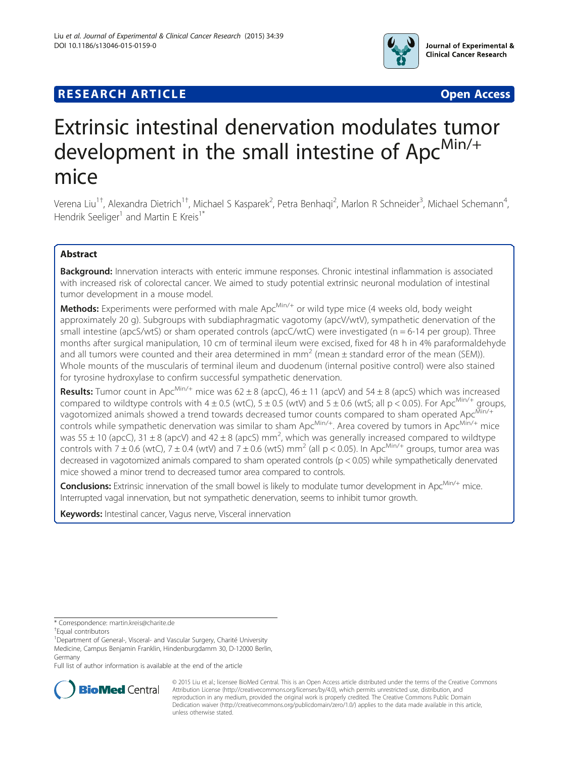

# **RESEARCH ARTICLE Example 2014 12:30 The Contract of Contract Contract Contract Contract Contract Contract Contract Contract Contract Contract Contract Contract Contract Contract Contract Contract Contract Contract Contr**

# Extrinsic intestinal denervation modulates tumor development in the small intestine of Apc<sup>Min/+</sup> mice

Verena Liu<sup>1†</sup>, Alexandra Dietrich<sup>1†</sup>, Michael S Kasparek<sup>2</sup>, Petra Benhaqi<sup>2</sup>, Marlon R Schneider<sup>3</sup>, Michael Schemann<sup>4</sup> , Hendrik Seeliger<sup>1</sup> and Martin E Kreis<sup>1\*</sup>

# Abstract

Background: Innervation interacts with enteric immune responses. Chronic intestinal inflammation is associated with increased risk of colorectal cancer. We aimed to study potential extrinsic neuronal modulation of intestinal tumor development in a mouse model.

**Methods:** Experiments were performed with male  $Apc^{Min/+}$  or wild type mice (4 weeks old, body weight approximately 20 g). Subgroups with subdiaphragmatic vagotomy (apcV/wtV), sympathetic denervation of the small intestine (apcS/wtS) or sham operated controls (apcC/wtC) were investigated (n = 6-14 per group). Three months after surgical manipulation, 10 cm of terminal ileum were excised, fixed for 48 h in 4% paraformaldehyde and all tumors were counted and their area determined in mm<sup>2</sup> (mean  $\pm$  standard error of the mean (SEM)). Whole mounts of the muscularis of terminal ileum and duodenum (internal positive control) were also stained for tyrosine hydroxylase to confirm successful sympathetic denervation.

**Results:** Tumor count in Apc<sup>Min/+</sup> mice was  $62 \pm 8$  (apcC),  $46 \pm 11$  (apcV) and  $54 \pm 8$  (apcS) which was increased compared to wildtype controls with 4  $\pm$  0.5 (wtC), 5  $\pm$  0.5 (wtV) and 5  $\pm$  0.6 (wtS; all p < 0.05). For Apc<sup>Min/+</sup> groups, vagotomized animals showed a trend towards decreased tumor counts compared to sham operated Apc<sup>Min/+</sup> controls while sympathetic denervation was similar to sham Apc<sup>Min/+</sup>. Area covered by tumors in Apc<sup>Min/+</sup> mice was 55  $\pm$  10 (apcC), 31  $\pm$  8 (apcV) and 42  $\pm$  8 (apcS) mm<sup>2</sup>, which was generally increased compared to wildtype controls with  $7 \pm 0.6$  (wtC),  $7 \pm 0.4$  (wtV) and  $7 \pm 0.6$  (wtS) mm<sup>2</sup> (all p < 0.05). In Apc<sup>Min/+</sup> groups, tumor area was decreased in vagotomized animals compared to sham operated controls (p < 0.05) while sympathetically denervated mice showed a minor trend to decreased tumor area compared to controls.

Conclusions: Extrinsic innervation of the small bowel is likely to modulate tumor development in Apc<sup>Min/+</sup> mice. Interrupted vagal innervation, but not sympathetic denervation, seems to inhibit tumor growth.

Keywords: Intestinal cancer, Vagus nerve, Visceral innervation

Full list of author information is available at the end of the article



© 2015 Liu et al.; licensee BioMed Central. This is an Open Access article distributed under the terms of the Creative Commons Attribution License (<http://creativecommons.org/licenses/by/4.0>), which permits unrestricted use, distribution, and reproduction in any medium, provided the original work is properly credited. The Creative Commons Public Domain Dedication waiver [\(http://creativecommons.org/publicdomain/zero/1.0/](http://creativecommons.org/publicdomain/zero/1.0/)) applies to the data made available in this article, unless otherwise stated.

<sup>\*</sup> Correspondence: [martin.kreis@charite.de](mailto:martin.kreis@charite.de) †

Equal contributors

<sup>&</sup>lt;sup>1</sup>Department of General-, Visceral- and Vascular Surgery, Charité University Medicine, Campus Benjamin Franklin, Hindenburgdamm 30, D-12000 Berlin, Germany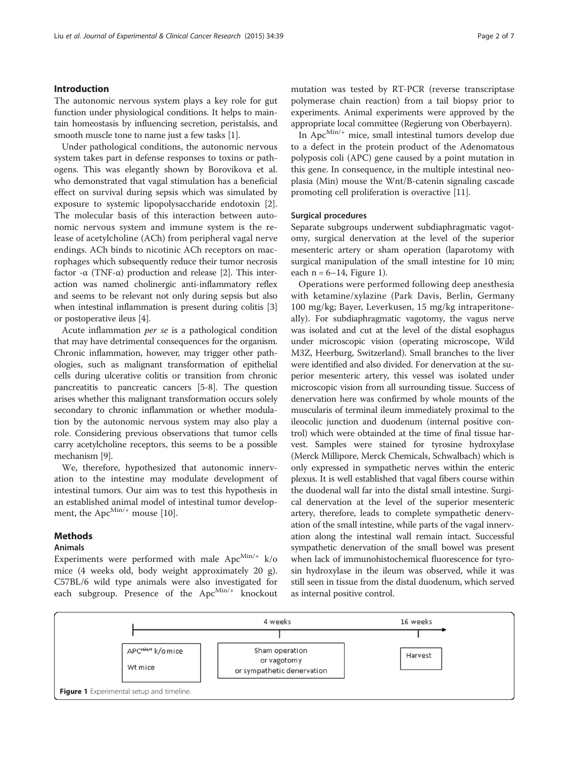#### Introduction

The autonomic nervous system plays a key role for gut function under physiological conditions. It helps to maintain homeostasis by influencing secretion, peristalsis, and smooth muscle tone to name just a few tasks [[1](#page-5-0)].

Under pathological conditions, the autonomic nervous system takes part in defense responses to toxins or pathogens. This was elegantly shown by Borovikova et al. who demonstrated that vagal stimulation has a beneficial effect on survival during sepsis which was simulated by exposure to systemic lipopolysaccharide endotoxin [\[2](#page-5-0)]. The molecular basis of this interaction between autonomic nervous system and immune system is the release of acetylcholine (ACh) from peripheral vagal nerve endings. ACh binds to nicotinic ACh receptors on macrophages which subsequently reduce their tumor necrosis factor  $-\alpha$  (TNF- $\alpha$ ) production and release [\[2](#page-5-0)]. This interaction was named cholinergic anti-inflammatory reflex and seems to be relevant not only during sepsis but also when intestinal inflammation is present during colitis [[3](#page-5-0)] or postoperative ileus [[4\]](#page-5-0).

Acute inflammation per se is a pathological condition that may have detrimental consequences for the organism. Chronic inflammation, however, may trigger other pathologies, such as malignant transformation of epithelial cells during ulcerative colitis or transition from chronic pancreatitis to pancreatic cancers [[5-8\]](#page-5-0). The question arises whether this malignant transformation occurs solely secondary to chronic inflammation or whether modulation by the autonomic nervous system may also play a role. Considering previous observations that tumor cells carry acetylcholine receptors, this seems to be a possible mechanism [\[9](#page-5-0)].

We, therefore, hypothesized that autonomic innervation to the intestine may modulate development of intestinal tumors. Our aim was to test this hypothesis in an established animal model of intestinal tumor development, the Apc $^{Min/+}$  mouse [\[10\]](#page-6-0).

# Methods

# Animals

Experiments were performed with male  $Apc^{Min/+}$  k/o mice (4 weeks old, body weight approximately 20 g). C57BL/6 wild type animals were also investigated for each subgroup. Presence of the  $Apc^{Min/+}$  knockout mutation was tested by RT-PCR (reverse transcriptase polymerase chain reaction) from a tail biopsy prior to experiments. Animal experiments were approved by the appropriate local committee (Regierung von Oberbayern).

In  $Apc^{Min/+}$  mice, small intestinal tumors develop due to a defect in the protein product of the Adenomatous polyposis coli (APC) gene caused by a point mutation in this gene. In consequence, in the multiple intestinal neoplasia (Min) mouse the Wnt/B-catenin signaling cascade promoting cell proliferation is overactive [[11\]](#page-6-0).

#### Surgical procedures

Separate subgroups underwent subdiaphragmatic vagotomy, surgical denervation at the level of the superior mesenteric artery or sham operation (laparotomy with surgical manipulation of the small intestine for 10 min; each  $n = 6-14$ , Figure 1).

Operations were performed following deep anesthesia with ketamine/xylazine (Park Davis, Berlin, Germany 100 mg/kg; Bayer, Leverkusen, 15 mg/kg intraperitoneally). For subdiaphragmatic vagotomy, the vagus nerve was isolated and cut at the level of the distal esophagus under microscopic vision (operating microscope, Wild M3Z, Heerburg, Switzerland). Small branches to the liver were identified and also divided. For denervation at the superior mesenteric artery, this vessel was isolated under microscopic vision from all surrounding tissue. Success of denervation here was confirmed by whole mounts of the muscularis of terminal ileum immediately proximal to the ileocolic junction and duodenum (internal positive control) which were obtainded at the time of final tissue harvest. Samples were stained for tyrosine hydroxylase (Merck Millipore, Merck Chemicals, Schwalbach) which is only expressed in sympathetic nerves within the enteric plexus. It is well established that vagal fibers course within the duodenal wall far into the distal small intestine. Surgical denervation at the level of the superior mesenteric artery, therefore, leads to complete sympathetic denervation of the small intestine, while parts of the vagal innervation along the intestinal wall remain intact. Successful sympathetic denervation of the small bowel was present when lack of immunohistochemical fluorescence for tyrosin hydroxylase in the ileum was observed, while it was still seen in tissue from the distal duodenum, which served as internal positive control.

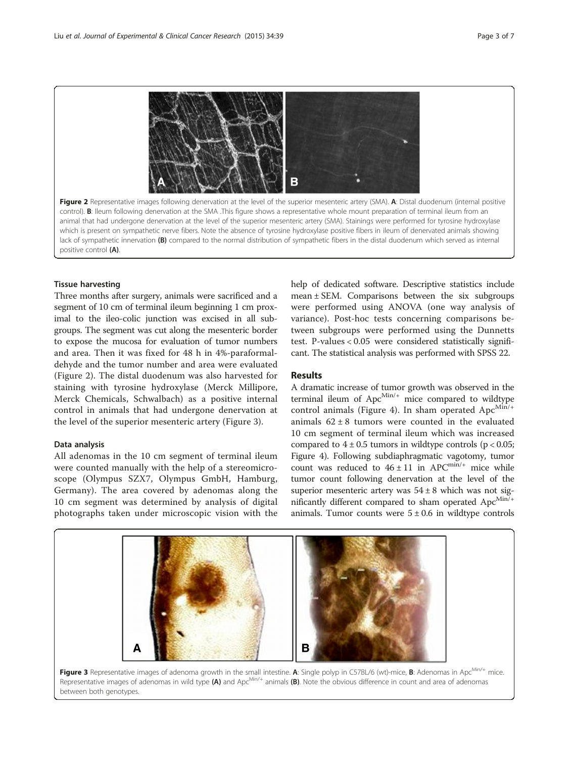

## Tissue harvesting

Three months after surgery, animals were sacrificed and a segment of 10 cm of terminal ileum beginning 1 cm proximal to the ileo-colic junction was excised in all subgroups. The segment was cut along the mesenteric border to expose the mucosa for evaluation of tumor numbers and area. Then it was fixed for 48 h in 4%-paraformaldehyde and the tumor number and area were evaluated (Figure 2). The distal duodenum was also harvested for staining with tyrosine hydroxylase (Merck Millipore, Merck Chemicals, Schwalbach) as a positive internal control in animals that had undergone denervation at the level of the superior mesenteric artery (Figure 3).

#### Data analysis

All adenomas in the 10 cm segment of terminal ileum were counted manually with the help of a stereomicroscope (Olympus SZX7, Olympus GmbH, Hamburg, Germany). The area covered by adenomas along the 10 cm segment was determined by analysis of digital photographs taken under microscopic vision with the

help of dedicated software. Descriptive statistics include mean  $\pm$  SEM. Comparisons between the six subgroups were performed using ANOVA (one way analysis of variance). Post-hoc tests concerning comparisons between subgroups were performed using the Dunnetts test. P-values < 0.05 were considered statistically significant. The statistical analysis was performed with SPSS 22.

### Results

A dramatic increase of tumor growth was observed in the terminal ileum of  $Apc^{Min/+}$  mice compared to wildtype control animals (Figure [4](#page-3-0)). In sham operated  $Apc<sup>Min/+</sup>$ animals  $62 \pm 8$  tumors were counted in the evaluated 10 cm segment of terminal ileum which was increased compared to  $4 \pm 0.5$  tumors in wildtype controls (p < 0.05; Figure [4](#page-3-0)). Following subdiaphragmatic vagotomy, tumor count was reduced to  $46 \pm 11$  in APC<sup>min/+</sup> mice while tumor count following denervation at the level of the superior mesenteric artery was  $54 \pm 8$  which was not significantly different compared to sham operated  $Apc^{Min/+}$ animals. Tumor counts were  $5 \pm 0.6$  in wildtype controls



Figure 3 Representative images of adenoma growth in the small intestine. A: Single polyp in C57BL/6 (wt)-mice, B: Adenomas in Apc<sup>Min/+</sup> mice. Representative images of adenomas in wild type (A) and Apc<sup>Min/+</sup> animals (B). Note the obvious difference in count and area of adenomas between both genotypes.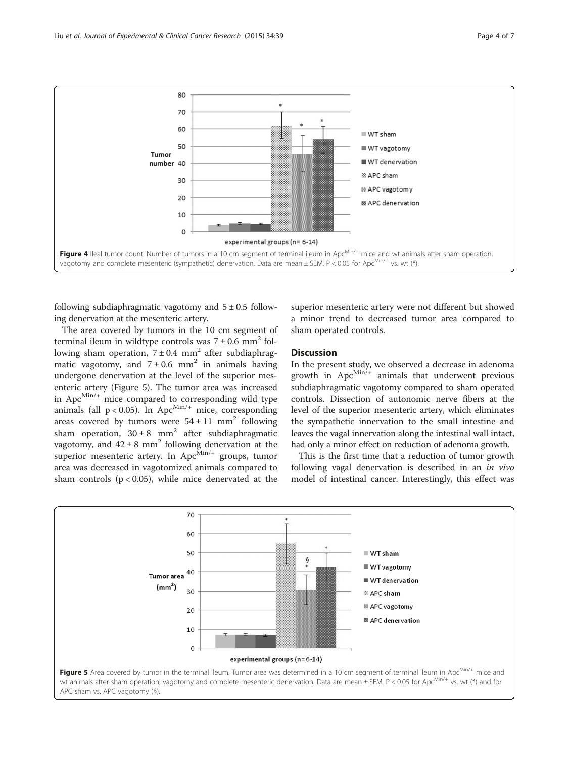<span id="page-3-0"></span>

following subdiaphragmatic vagotomy and  $5 \pm 0.5$  following denervation at the mesenteric artery.

The area covered by tumors in the 10 cm segment of terminal ileum in wildtype controls was  $7 \pm 0.6$  mm<sup>2</sup> following sham operation,  $7 \pm 0.4$  mm<sup>2</sup> after subdiaphragmatic vagotomy, and  $7 \pm 0.6$  mm<sup>2</sup> in animals having undergone denervation at the level of the superior mesenteric artery (Figure 5). The tumor area was increased in  $Apc^{Min/+}$  mice compared to corresponding wild type animals (all  $p < 0.05$ ). In Apc<sup>Min/+</sup> mice, corresponding areas covered by tumors were  $54 \pm 11$  mm<sup>2</sup> following sham operation,  $30 \pm 8$  mm<sup>2</sup> after subdiaphragmatic vagotomy, and  $42 \pm 8$  mm<sup>2</sup> following denervation at the superior mesenteric artery. In  $Apc^{Min/+}$  groups, tumor area was decreased in vagotomized animals compared to sham controls  $(p < 0.05)$ , while mice denervated at the

superior mesenteric artery were not different but showed a minor trend to decreased tumor area compared to sham operated controls.

# **Discussion**

In the present study, we observed a decrease in adenoma growth in  $Apc^{Min/+}$  animals that underwent previous subdiaphragmatic vagotomy compared to sham operated controls. Dissection of autonomic nerve fibers at the level of the superior mesenteric artery, which eliminates the sympathetic innervation to the small intestine and leaves the vagal innervation along the intestinal wall intact, had only a minor effect on reduction of adenoma growth.

This is the first time that a reduction of tumor growth following vagal denervation is described in an in vivo model of intestinal cancer. Interestingly, this effect was

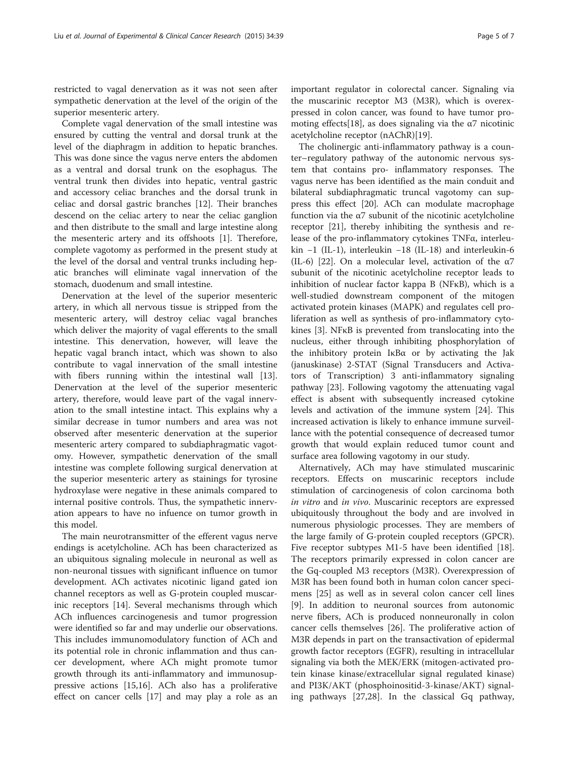restricted to vagal denervation as it was not seen after sympathetic denervation at the level of the origin of the superior mesenteric artery.

Complete vagal denervation of the small intestine was ensured by cutting the ventral and dorsal trunk at the level of the diaphragm in addition to hepatic branches. This was done since the vagus nerve enters the abdomen as a ventral and dorsal trunk on the esophagus. The ventral trunk then divides into hepatic, ventral gastric and accessory celiac branches and the dorsal trunk in celiac and dorsal gastric branches [[12\]](#page-6-0). Their branches descend on the celiac artery to near the celiac ganglion and then distribute to the small and large intestine along the mesenteric artery and its offshoots [[1\]](#page-5-0). Therefore, complete vagotomy as performed in the present study at the level of the dorsal and ventral trunks including hepatic branches will eliminate vagal innervation of the stomach, duodenum and small intestine.

Denervation at the level of the superior mesenteric artery, in which all nervous tissue is stripped from the mesenteric artery, will destroy celiac vagal branches which deliver the majority of vagal efferents to the small intestine. This denervation, however, will leave the hepatic vagal branch intact, which was shown to also contribute to vagal innervation of the small intestine with fibers running within the intestinal wall [\[13](#page-6-0)]. Denervation at the level of the superior mesenteric artery, therefore, would leave part of the vagal innervation to the small intestine intact. This explains why a similar decrease in tumor numbers and area was not observed after mesenteric denervation at the superior mesenteric artery compared to subdiaphragmatic vagotomy. However, sympathetic denervation of the small intestine was complete following surgical denervation at the superior mesenteric artery as stainings for tyrosine hydroxylase were negative in these animals compared to internal positive controls. Thus, the sympathetic innervation appears to have no infuence on tumor growth in this model.

The main neurotransmitter of the efferent vagus nerve endings is acetylcholine. ACh has been characterized as an ubiquitous signaling molecule in neuronal as well as non-neuronal tissues with significant influence on tumor development. ACh activates nicotinic ligand gated ion channel receptors as well as G-protein coupled muscarinic receptors [\[14](#page-6-0)]. Several mechanisms through which ACh influences carcinogenesis and tumor progression were identified so far and may underlie our observations. This includes immunomodulatory function of ACh and its potential role in chronic inflammation and thus cancer development, where ACh might promote tumor growth through its anti-inflammatory and immunosuppressive actions [[15](#page-6-0),[16](#page-6-0)]. ACh also has a proliferative effect on cancer cells [[17](#page-6-0)] and may play a role as an important regulator in colorectal cancer. Signaling via the muscarinic receptor M3 (M3R), which is overexpressed in colon cancer, was found to have tumor pro-moting effects[[18](#page-6-0)], as does signaling via the  $\alpha$ 7 nicotinic acetylcholine receptor (nAChR)[[19](#page-6-0)].

The cholinergic anti-inflammatory pathway is a counter–regulatory pathway of the autonomic nervous system that contains pro- inflammatory responses. The vagus nerve has been identified as the main conduit and bilateral subdiaphragmatic truncal vagotomy can suppress this effect [\[20](#page-6-0)]. ACh can modulate macrophage function via the α7 subunit of the nicotinic acetylcholine receptor [\[21\]](#page-6-0), thereby inhibiting the synthesis and release of the pro-inflammatory cytokines TNFα, interleukin −1 (IL-1), interleukin −18 (IL-18) and interleukin-6 (IL-6) [\[22\]](#page-6-0). On a molecular level, activation of the  $\alpha$ 7 subunit of the nicotinic acetylcholine receptor leads to inhibition of nuclear factor kappa B (NFκB), which is a well-studied downstream component of the mitogen activated protein kinases (MAPK) and regulates cell proliferation as well as synthesis of pro-inflammatory cytokines [\[3](#page-5-0)]. NFκB is prevented from translocating into the nucleus, either through inhibiting phosphorylation of the inhibitory protein IκBα or by activating the Jak (januskinase) 2-STAT (Signal Transducers and Activators of Transcription) 3 anti-inflammatory signaling pathway [\[23](#page-6-0)]. Following vagotomy the attenuating vagal effect is absent with subsequently increased cytokine levels and activation of the immune system [[24](#page-6-0)]. This increased activation is likely to enhance immune surveillance with the potential consequence of decreased tumor growth that would explain reduced tumor count and surface area following vagotomy in our study.

Alternatively, ACh may have stimulated muscarinic receptors. Effects on muscarinic receptors include stimulation of carcinogenesis of colon carcinoma both in vitro and in vivo. Muscarinic receptors are expressed ubiquitously throughout the body and are involved in numerous physiologic processes. They are members of the large family of G-protein coupled receptors (GPCR). Five receptor subtypes M1-5 have been identified [\[18](#page-6-0)]. The receptors primarily expressed in colon cancer are the Gq-coupled M3 receptors (M3R). Overexpression of M3R has been found both in human colon cancer specimens [\[25\]](#page-6-0) as well as in several colon cancer cell lines [[9\]](#page-5-0). In addition to neuronal sources from autonomic nerve fibers, ACh is produced nonneuronally in colon cancer cells themselves [[26\]](#page-6-0). The proliferative action of M3R depends in part on the transactivation of epidermal growth factor receptors (EGFR), resulting in intracellular signaling via both the MEK/ERK (mitogen-activated protein kinase kinase/extracellular signal regulated kinase) and PI3K/AKT (phosphoinositid-3-kinase/AKT) signaling pathways [[27,28\]](#page-6-0). In the classical Gq pathway,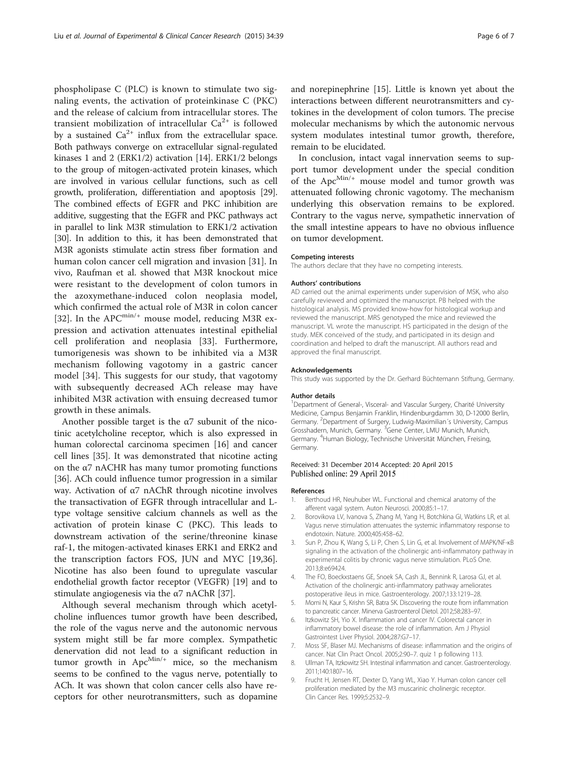<span id="page-5-0"></span>phospholipase C (PLC) is known to stimulate two signaling events, the activation of proteinkinase C (PKC) and the release of calcium from intracellular stores. The transient mobilization of intracellular  $Ca^{2+}$  is followed by a sustained  $Ca^{2+}$  influx from the extracellular space. Both pathways converge on extracellular signal-regulated kinases 1 and 2 (ERK1/2) activation [\[14\]](#page-6-0). ERK1/2 belongs to the group of mitogen-activated protein kinases, which are involved in various cellular functions, such as cell growth, proliferation, differentiation and apoptosis [[29](#page-6-0)]. The combined effects of EGFR and PKC inhibition are additive, suggesting that the EGFR and PKC pathways act in parallel to link M3R stimulation to ERK1/2 activation [[30](#page-6-0)]. In addition to this, it has been demonstrated that M3R agonists stimulate actin stress fiber formation and human colon cancer cell migration and invasion [[31\]](#page-6-0). In vivo, Raufman et al. showed that M3R knockout mice were resistant to the development of colon tumors in the azoxymethane-induced colon neoplasia model, which confirmed the actual role of M3R in colon cancer [[32\]](#page-6-0). In the APC<sup>min/+</sup> mouse model, reducing M3R expression and activation attenuates intestinal epithelial cell proliferation and neoplasia [[33\]](#page-6-0). Furthermore, tumorigenesis was shown to be inhibited via a M3R mechanism following vagotomy in a gastric cancer model [\[34](#page-6-0)]. This suggests for our study, that vagotomy with subsequently decreased ACh release may have inhibited M3R activation with ensuing decreased tumor growth in these animals.

Another possible target is the  $\alpha$ 7 subunit of the nicotinic acetylcholine receptor, which is also expressed in human colorectal carcinoma specimen [\[16\]](#page-6-0) and cancer cell lines [\[35](#page-6-0)]. It was demonstrated that nicotine acting on the  $\alpha$ 7 nACHR has many tumor promoting functions [[36\]](#page-6-0). ACh could influence tumor progression in a similar way. Activation of α7 nAChR through nicotine involves the transactivation of EGFR through intracellular and Ltype voltage sensitive calcium channels as well as the activation of protein kinase C (PKC). This leads to downstream activation of the serine/threonine kinase raf-1, the mitogen-activated kinases ERK1 and ERK2 and the transcription factors FOS, JUN and MYC [\[19,36](#page-6-0)]. Nicotine has also been found to upregulate vascular endothelial growth factor receptor (VEGFR) [[19\]](#page-6-0) and to stimulate angiogenesis via the  $\alpha$ 7 nAChR [\[37\]](#page-6-0).

Although several mechanism through which acetylcholine influences tumor growth have been described, the role of the vagus nerve and the autonomic nervous system might still be far more complex. Sympathetic denervation did not lead to a significant reduction in tumor growth in  $Apc^{Min/+}$  mice, so the mechanism seems to be confined to the vagus nerve, potentially to ACh. It was shown that colon cancer cells also have receptors for other neurotransmitters, such as dopamine and norepinephrine [\[15](#page-6-0)]. Little is known yet about the interactions between different neurotransmitters and cytokines in the development of colon tumors. The precise molecular mechanisms by which the autonomic nervous system modulates intestinal tumor growth, therefore, remain to be elucidated.

In conclusion, intact vagal innervation seems to support tumor development under the special condition of the  $Apc^{Min/+}$  mouse model and tumor growth was attenuated following chronic vagotomy. The mechanism underlying this observation remains to be explored. Contrary to the vagus nerve, sympathetic innervation of the small intestine appears to have no obvious influence on tumor development.

#### Competing interests

The authors declare that they have no competing interests.

#### Authors' contributions

AD carried out the animal experiments under supervision of MSK, who also carefully reviewed and optimized the manuscript. PB helped with the histological analysis. MS provided know-how for histological workup and reviewed the manuscript. MRS genotyped the mice and reviewed the manuscript. VL wrote the manuscript. HS participated in the design of the study. MEK conceived of the study, and participated in its design and coordination and helped to draft the manuscript. All authors read and approved the final manuscript.

#### Acknowledgements

This study was supported by the Dr. Gerhard Büchtemann Stiftung, Germany.

#### Author details

<sup>1</sup>Department of General-, Visceral- and Vascular Surgery, Charité University Medicine, Campus Benjamin Franklin, Hindenburgdamm 30, D-12000 Berlin, Germany. <sup>2</sup>Department of Surgery, Ludwig-Maximilian's University, Campus Grosshadern, Munich, Germany. <sup>3</sup>Gene Center, LMU Munich, Munich, Germany. <sup>4</sup> Human Biology, Technische Universität München, Freising, Germany.

#### Received: 31 December 2014 Accepted: 20 April 2015 Published online: 29 April 2015

#### References

- 1. Berthoud HR, Neuhuber WL. Functional and chemical anatomy of the afferent vagal system. Auton Neurosci. 2000;85:1–17.
- 2. Borovikova LV, Ivanova S, Zhang M, Yang H, Botchkina GI, Watkins LR, et al. Vagus nerve stimulation attenuates the systemic inflammatory response to endotoxin. Nature. 2000;405:458–62.
- 3. Sun P, Zhou K, Wang S, Li P, Chen S, Lin G, et al. Involvement of MAPK/NF-κB signaling in the activation of the cholinergic anti-inflammatory pathway in experimental colitis by chronic vagus nerve stimulation. PLoS One. 2013;8:e69424.
- 4. The FO, Boeckxstaens GE, Snoek SA, Cash JL, Bennink R, Larosa GJ, et al. Activation of the cholinergic anti-inflammatory pathway ameliorates postoperative ileus in mice. Gastroenterology. 2007;133:1219–28.
- 5. Momi N, Kaur S, Krishn SR, Batra SK. Discovering the route from inflammation to pancreatic cancer. Minerva Gastroenterol Dietol. 2012;58:283–97.
- 6. Itzkowitz SH, Yio X. Inflammation and cancer IV. Colorectal cancer in inflammatory bowel disease: the role of inflammation. Am J Physiol Gastrointest Liver Physiol. 2004;287:G7–17.
- 7. Moss SF, Blaser MJ. Mechanisms of disease: inflammation and the origins of cancer. Nat Clin Pract Oncol. 2005;2:90–7. quiz 1 p following 113.
- 8. Ullman TA, Itzkowitz SH. Intestinal inflammation and cancer. Gastroenterology. 2011;140:1807–16.
- 9. Frucht H, Jensen RT, Dexter D, Yang WL, Xiao Y. Human colon cancer cell proliferation mediated by the M3 muscarinic cholinergic receptor. Clin Cancer Res. 1999;5:2532–9.